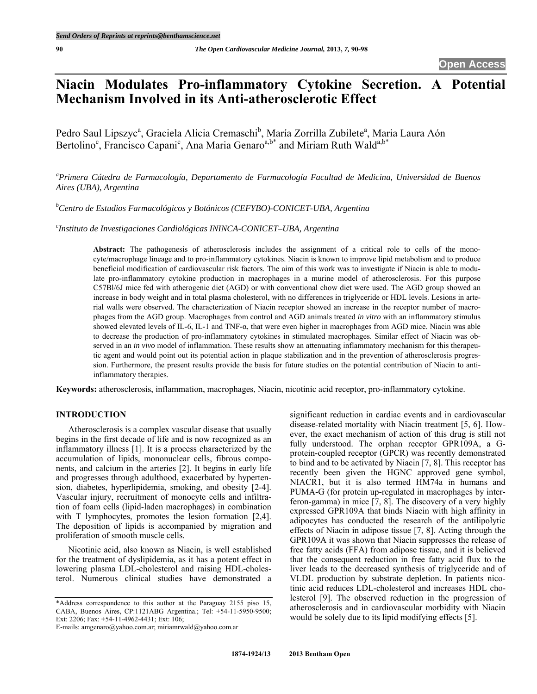# **Niacin Modulates Pro-inflammatory Cytokine Secretion. A Potential Mechanism Involved in its Anti-atherosclerotic Effect**

Pedro Saul Lipszyc<sup>a</sup>, Graciela Alicia Cremaschi<sup>b</sup>, María Zorrilla Zubilete<sup>a</sup>, Maria Laura Aón Bertolino<sup>c</sup>, Francisco Capani<sup>c</sup>, Ana Maria Genaro<sup>a,b\*</sup> and Miriam Ruth Wald<sup>a,b\*</sup>

*a Primera Cátedra de Farmacología, Departamento de Farmacología Facultad de Medicina, Universidad de Buenos Aires (UBA), Argentina* 

*b Centro de Estudios Farmacológicos y Botánicos (CEFYBO)-CONICET-UBA, Argentina* 

*c Instituto de Investigaciones Cardiológicas ININCA-CONICET–UBA, Argentina* 

Abstract: The pathogenesis of atherosclerosis includes the assignment of a critical role to cells of the monocyte/macrophage lineage and to pro-inflammatory cytokines. Niacin is known to improve lipid metabolism and to produce beneficial modification of cardiovascular risk factors. The aim of this work was to investigate if Niacin is able to modulate pro-inflammatory cytokine production in macrophages in a murine model of atherosclerosis. For this purpose C57Bl/6J mice fed with atherogenic diet (AGD) or with conventional chow diet were used. The AGD group showed an increase in body weight and in total plasma cholesterol, with no differences in triglyceride or HDL levels. Lesions in arterial walls were observed. The characterization of Niacin receptor showed an increase in the receptor number of macrophages from the AGD group. Macrophages from control and AGD animals treated *in vitro* with an inflammatory stimulus showed elevated levels of IL-6, IL-1 and TNF-α, that were even higher in macrophages from AGD mice. Niacin was able to decrease the production of pro-inflammatory cytokines in stimulated macrophages. Similar effect of Niacin was observed in an *in vivo* model of inflammation. These results show an attenuating inflammatory mechanism for this therapeutic agent and would point out its potential action in plaque stabilization and in the prevention of atherosclerosis progression. Furthermore, the present results provide the basis for future studies on the potential contribution of Niacin to antiinflammatory therapies.

**Keywords:** atherosclerosis, inflammation, macrophages, Niacin, nicotinic acid receptor, pro-inflammatory cytokine.

## **INTRODUCTION**

 Atherosclerosis is a complex vascular disease that usually begins in the first decade of life and is now recognized as an inflammatory illness [1]. It is a process characterized by the accumulation of lipids, mononuclear cells, fibrous components, and calcium in the arteries [2]. It begins in early life and progresses through adulthood, exacerbated by hypertension, diabetes, hyperlipidemia, smoking, and obesity [2-4]. Vascular injury, recruitment of monocyte cells and infiltration of foam cells (lipid-laden macrophages) in combination with T lymphocytes, promotes the lesion formation [2,4]. The deposition of lipids is accompanied by migration and proliferation of smooth muscle cells.

 Nicotinic acid, also known as Niacin, is well established for the treatment of dyslipidemia, as it has a potent effect in lowering plasma LDL-cholesterol and raising HDL-cholesterol. Numerous clinical studies have demonstrated a

E-mails: amgenaro@yahoo.com.ar; miriamrwald@yahoo.com.ar

significant reduction in cardiac events and in cardiovascular disease-related mortality with Niacin treatment [5, 6]. However, the exact mechanism of action of this drug is still not fully understood. The orphan receptor GPR109A, a Gprotein-coupled receptor (GPCR) was recently demonstrated to bind and to be activated by Niacin [7, 8]. This receptor has recently been given the HGNC approved gene symbol, NIACR1, but it is also termed HM74a in humans and PUMA-G (for protein up-regulated in macrophages by interferon-gamma) in mice [7, 8]. The discovery of a very highly expressed GPR109A that binds Niacin with high affinity in adipocytes has conducted the research of the antilipolytic effects of Niacin in adipose tissue [7, 8]. Acting through the GPR109A it was shown that Niacin suppresses the release of free fatty acids (FFA) from adipose tissue, and it is believed that the consequent reduction in free fatty acid flux to the liver leads to the decreased synthesis of triglyceride and of VLDL production by substrate depletion. In patients nicotinic acid reduces LDL-cholesterol and increases HDL cholesterol [9]. The observed reduction in the progression of atherosclerosis and in cardiovascular morbidity with Niacin would be solely due to its lipid modifying effects [5].

<sup>\*</sup>Address correspondence to this author at the Paraguay 2155 piso 15, CABA, Buenos Aires, CP:1121ABG Argentina.; Tel: +54-11-5950-9500; Ext: 2206; Fax: +54-11-4962-4431; Ext: 106;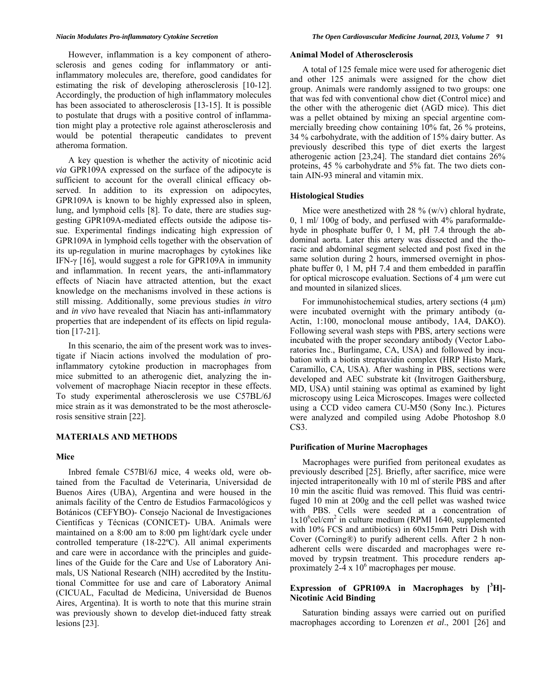However, inflammation is a key component of atherosclerosis and genes coding for inflammatory or antiinflammatory molecules are, therefore, good candidates for estimating the risk of developing atherosclerosis [10-12]. Accordingly, the production of high inflammatory molecules has been associated to atherosclerosis [13-15]. It is possible to postulate that drugs with a positive control of inflammation might play a protective role against atherosclerosis and would be potential therapeutic candidates to prevent atheroma formation.

 A key question is whether the activity of nicotinic acid *via* GPR109A expressed on the surface of the adipocyte is sufficient to account for the overall clinical efficacy observed. In addition to its expression on adipocytes, GPR109A is known to be highly expressed also in spleen, lung, and lymphoid cells [8]. To date, there are studies suggesting GPR109A-mediated effects outside the adipose tissue. Experimental findings indicating high expression of GPR109A in lymphoid cells together with the observation of its up-regulation in murine macrophages by cytokines like IFN-γ [16], would suggest a role for GPR109A in immunity and inflammation. In recent years, the anti-inflammatory effects of Niacin have attracted attention, but the exact knowledge on the mechanisms involved in these actions is still missing. Additionally, some previous studies *in vitro*  and *in vivo* have revealed that Niacin has anti-inflammatory properties that are independent of its effects on lipid regulation [17-21].

 In this scenario, the aim of the present work was to investigate if Niacin actions involved the modulation of proinflammatory cytokine production in macrophages from mice submitted to an atherogenic diet, analyzing the involvement of macrophage Niacin receptor in these effects. To study experimental atherosclerosis we use C57BL/6J mice strain as it was demonstrated to be the most atherosclerosis sensitive strain [22].

## **MATERIALS AND METHODS**

## **Mice**

 Inbred female C57Bl/6J mice, 4 weeks old, were obtained from the Facultad de Veterinaria, Universidad de Buenos Aires (UBA), Argentina and were housed in the animals facility of the Centro de Estudios Farmacológicos y Botánicos (CEFYBO)- Consejo Nacional de Investigaciones Científicas y Técnicas (CONICET)- UBA. Animals were maintained on a 8:00 am to 8:00 pm light/dark cycle under controlled temperature (18-22ºC). All animal experiments and care were in accordance with the principles and guidelines of the Guide for the Care and Use of Laboratory Animals, US National Research (NIH) accredited by the Institutional Committee for use and care of Laboratory Animal (CICUAL, Facultad de Medicina, Universidad de Buenos Aires, Argentina). It is worth to note that this murine strain was previously shown to develop diet-induced fatty streak lesions [23].

### **Animal Model of Atherosclerosis**

 A total of 125 female mice were used for atherogenic diet and other 125 animals were assigned for the chow diet group. Animals were randomly assigned to two groups: one that was fed with conventional chow diet (Control mice) and the other with the atherogenic diet (AGD mice). This diet was a pellet obtained by mixing an special argentine commercially breeding chow containing 10% fat, 26 % proteins, 34 % carbohydrate, with the addition of 15% dairy butter. As previously described this type of diet exerts the largest atherogenic action [23,24]. The standard diet contains 26% proteins, 45 % carbohydrate and 5% fat. The two diets contain AIN-93 mineral and vitamin mix.

## **Histological Studies**

Mice were anesthetized with 28  $\%$  (w/v) chloral hydrate, 0, 1 ml/ 100g of body, and perfused with 4% paraformaldehyde in phosphate buffer 0, 1 M, pH 7.4 through the abdominal aorta. Later this artery was dissected and the thoracic and abdominal segment selected and post fixed in the same solution during 2 hours, immersed overnight in phosphate buffer 0, 1 M, pH 7.4 and them embedded in paraffin for optical microscope evaluation. Sections of 4 µm were cut and mounted in silanized slices.

For immunohistochemical studies, artery sections  $(4 \mu m)$ were incubated overnight with the primary antibody  $(\alpha$ -Actin, 1:100, monoclonal mouse antibody, 1A4, DAKO). Following several wash steps with PBS, artery sections were incubated with the proper secondary antibody (Vector Laboratories Inc., Burlingame, CA, USA) and followed by incubation with a biotin streptavidin complex (HRP Histo Mark, Caramillo, CA, USA). After washing in PBS, sections were developed and AEC substrate kit (Invitrogen Gaithersburg, MD, USA) until staining was optimal as examined by light microscopy using Leica Microscopes. Images were collected using a CCD video camera CU-M50 (Sony Inc.). Pictures were analyzed and compiled using Adobe Photoshop 8.0 CS3.

## **Purification of Murine Macrophages**

 Macrophages were purified from peritoneal exudates as previously described [25]. Briefly, after sacrifice, mice were injected intraperitoneally with 10 ml of sterile PBS and after 10 min the ascitic fluid was removed. This fluid was centrifuged 10 min at 200g and the cell pellet was washed twice with PBS. Cells were seeded at a concentration of 1x10<sup>6</sup>cel/cm<sup>2</sup> in culture medium (RPMI 1640, supplemented with 10% FCS and antibiotics) in 60x15mm Petri Dish with Cover (Corning®) to purify adherent cells. After 2 h nonadherent cells were discarded and macrophages were removed by trypsin treatment. This procedure renders approximately  $2-4 \times 10^6$  macrophages per mouse.

# **Expression of GPR109A in Macrophages by [<sup>3</sup> H]- Nicotinic Acid Binding**

 Saturation binding assays were carried out on purified macrophages according to Lorenzen *et al*., 2001 [26] and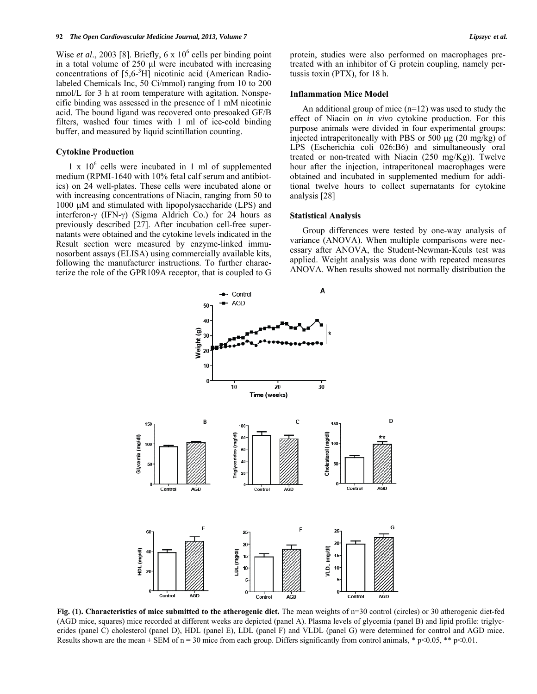Wise *et al.*, 2003 [8]. Briefly,  $6 \times 10^6$  cells per binding point in a total volume of 250 μl were incubated with increasing concentrations of [5,6-<sup>3</sup> H] nicotinic acid (American Radiolabeled Chemicals Inc, 50 Ci/mmol) ranging from 10 to 200 nmol/L for 3 h at room temperature with agitation. Nonspecific binding was assessed in the presence of 1 mM nicotinic acid. The bound ligand was recovered onto presoaked GF/B filters, washed four times with 1 ml of ice-cold binding buffer, and measured by liquid scintillation counting.

#### **Cytokine Production**

1 x  $10^6$  cells were incubated in 1 ml of supplemented medium (RPMI-1640 with 10% fetal calf serum and antibiotics) on 24 well-plates. These cells were incubated alone or with increasing concentrations of Niacin, ranging from 50 to  $1000 \mu M$  and stimulated with lipopolysaccharide (LPS) and interferon- $\gamma$  (IFN- $\gamma$ ) (Sigma Aldrich Co.) for 24 hours as previously described [27]. After incubation cell-free supernatants were obtained and the cytokine levels indicated in the Result section were measured by enzyme-linked immunosorbent assays (ELISA) using commercially available kits, following the manufacturer instructions. To further characterize the role of the GPR109A receptor, that is coupled to G

protein, studies were also performed on macrophages pretreated with an inhibitor of G protein coupling, namely pertussis toxin (PTX), for 18 h.

#### **Inflammation Mice Model**

An additional group of mice  $(n=12)$  was used to study the effect of Niacin on *in vivo* cytokine production. For this purpose animals were divided in four experimental groups: injected intraperitoneally with PBS or 500  $\mu$ g (20 mg/kg) of LPS (Escherichia coli 026:B6) and simultaneously oral treated or non-treated with Niacin (250 mg/Kg)). Twelve hour after the injection, intraperitoneal macrophages were obtained and incubated in supplemented medium for additional twelve hours to collect supernatants for cytokine analysis [28]

### **Statistical Analysis**

 Group differences were tested by one-way analysis of variance (ANOVA). When multiple comparisons were necessary after ANOVA, the Student-Newman-Keuls test was applied. Weight analysis was done with repeated measures ANOVA. When results showed not normally distribution the



**Fig. (1). Characteristics of mice submitted to the atherogenic diet.** The mean weights of n=30 control (circles) or 30 atherogenic diet-fed (AGD mice, squares) mice recorded at different weeks are depicted (panel A). Plasma levels of glycemia (panel B) and lipid profile: triglycerides (panel C) cholesterol (panel D), HDL (panel E), LDL (panel F) and VLDL (panel G) were determined for control and AGD mice. Results shown are the mean  $\pm$  SEM of n = 30 mice from each group. Differs significantly from control animals, \* p<0.05, \*\* p<0.01.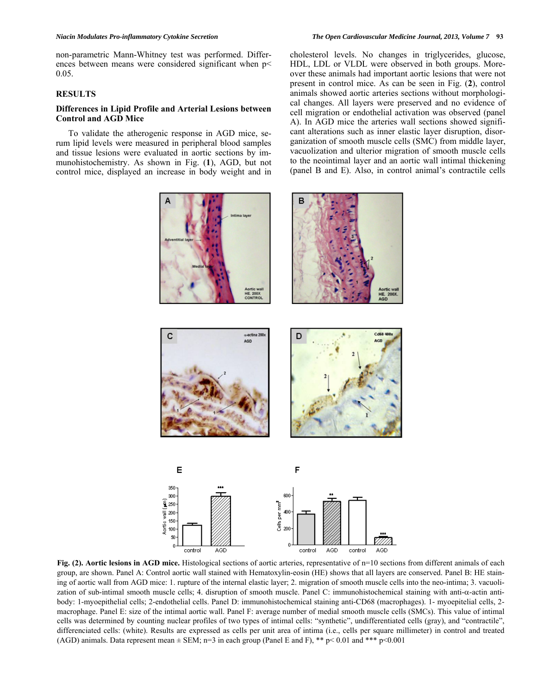non-parametric Mann-Whitney test was performed. Differences between means were considered significant when p< 0.05.

## **RESULTS**

## **Differences in Lipid Profile and Arterial Lesions between Control and AGD Mice**

 To validate the atherogenic response in AGD mice, serum lipid levels were measured in peripheral blood samples and tissue lesions were evaluated in aortic sections by immunohistochemistry. As shown in Fig. (**1**), AGD, but not control mice, displayed an increase in body weight and in cholesterol levels. No changes in triglycerides, glucose, HDL, LDL or VLDL were observed in both groups. Moreover these animals had important aortic lesions that were not present in control mice. As can be seen in Fig. (**2**), control animals showed aortic arteries sections without morphological changes. All layers were preserved and no evidence of cell migration or endothelial activation was observed (panel A). In AGD mice the arteries wall sections showed significant alterations such as inner elastic layer disruption, disorganization of smooth muscle cells (SMC) from middle layer, vacuolization and ulterior migration of smooth muscle cells to the neointimal layer and an aortic wall intimal thickening (panel B and E). Also, in control animal's contractile cells



o contro AGD control AGD control AGD

**Fig. (2). Aortic lesions in AGD mice.** Histological sections of aortic arteries, representative of n=10 sections from different animals of each group, are shown. Panel A: Control aortic wall stained with Hematoxylin-eosin (HE) shows that all layers are conserved. Panel B: HE staining of aortic wall from AGD mice: 1. rupture of the internal elastic layer; 2. migration of smooth muscle cells into the neo-intima; 3. vacuolization of sub-intimal smooth muscle cells; 4. disruption of smooth muscle. Panel C: immunohistochemical staining with anti- $\alpha$ -actin antibody: 1-myoepithelial cells; 2-endothelial cells. Panel D: immunohistochemical staining anti-CD68 (macrophages). 1- myoepitelial cells, 2 macrophage. Panel E: size of the intimal aortic wall. Panel F: average number of medial smooth muscle cells (SMCs). This value of intimal cells was determined by counting nuclear profiles of two types of intimal cells: "synthetic", undifferentiated cells (gray), and "contractile", differenciated cells: (white). Results are expressed as cells per unit area of intima (i.e., cells per square millimeter) in control and treated (AGD) animals. Data represent mean  $\pm$  SEM; n=3 in each group (Panel E and F), \*\* p< 0.01 and \*\*\* p<0.001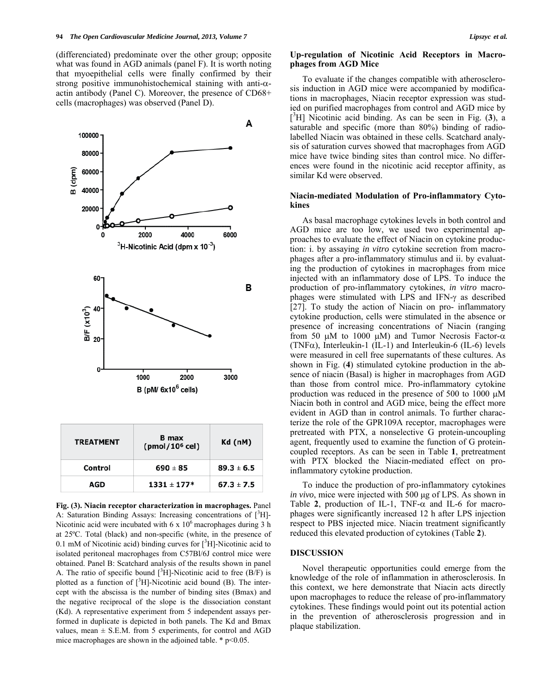(differenciated) predominate over the other group; opposite what was found in AGD animals (panel F). It is worth noting that myoepithelial cells were finally confirmed by their strong positive immunohistochemical staining with anti- $\alpha$ actin antibody (Panel C). Moreover, the presence of CD68+ cells (macrophages) was observed (Panel D).



**Fig. (3). Niacin receptor characterization in macrophages.** Panel A: Saturation Binding Assays: Increasing concentrations of [3H]-Nicotinic acid were incubated with  $6 \times 10^6$  macrophages during 3 h at 25ºC. Total (black) and non-specific (white, in the presence of 0.1 mM of Nicotinic acid) binding curves for  $[^{3}H]$ -Nicotinic acid to isolated peritoneal macrophages from C57Bl/6J control mice were obtained. Panel B: Scatchard analysis of the results shown in panel A. The ratio of specific bound  $[{}^{3}H]$ -Nicotinic acid to free (B/F) is plotted as a function of  $\int^3 H$ ]-Nicotinic acid bound (B). The intercept with the abscissa is the number of binding sites (Bmax) and the negative reciprocal of the slope is the dissociation constant (Kd). A representative experiment from 5 independent assays performed in duplicate is depicted in both panels. The Kd and Bmax values, mean  $\pm$  S.E.M. from 5 experiments, for control and AGD mice macrophages are shown in the adjoined table.  $*$  p<0.05.

### **Up-regulation of Nicotinic Acid Receptors in Macrophages from AGD Mice**

 To evaluate if the changes compatible with atherosclerosis induction in AGD mice were accompanied by modifications in macrophages, Niacin receptor expression was studied on purified macrophages from control and AGD mice by [ 3 H] Nicotinic acid binding. As can be seen in Fig. (**3**), a saturable and specific (more than 80%) binding of radiolabelled Niacin was obtained in these cells. Scatchard analysis of saturation curves showed that macrophages from AGD mice have twice binding sites than control mice. No differences were found in the nicotinic acid receptor affinity, as similar Kd were observed.

## **Niacin-mediated Modulation of Pro-inflammatory Cytokines**

 As basal macrophage cytokines levels in both control and AGD mice are too low, we used two experimental approaches to evaluate the effect of Niacin on cytokine production: i. by assaying *in vitro* cytokine secretion from macrophages after a pro-inflammatory stimulus and ii. by evaluating the production of cytokines in macrophages from mice injected with an inflammatory dose of LPS. To induce the production of pro-inflammatory cytokines, *in vitro* macrophages were stimulated with LPS and IFN- $\gamma$  as described [27]. To study the action of Niacin on pro- inflammatory cytokine production, cells were stimulated in the absence or presence of increasing concentrations of Niacin (ranging from 50  $\mu$ M to 1000  $\mu$ M) and Tumor Necrosis Factor- $\alpha$ (TNF $\alpha$ ), Interleukin-1 (IL-1) and Interleukin-6 (IL-6) levels were measured in cell free supernatants of these cultures. As shown in Fig. (**4**) stimulated cytokine production in the absence of niacin (Basal) is higher in macrophages from AGD than those from control mice. Pro-inflammatory cytokine production was reduced in the presence of 500 to 1000  $\mu$ M Niacin both in control and AGD mice, being the effect more evident in AGD than in control animals. To further characterize the role of the GPR109A receptor, macrophages were pretreated with PTX, a nonselective G protein-uncoupling agent, frequently used to examine the function of G proteincoupled receptors. As can be seen in Table **1**, pretreatment with PTX blocked the Niacin-mediated effect on proinflammatory cytokine production.

 To induce the production of pro-inflammatory cytokines *in vivo*, mice were injected with 500 μg of LPS. As shown in Table 2, production of IL-1, TNF- $\alpha$  and IL-6 for macrophages were significantly increased 12 h after LPS injection respect to PBS injected mice. Niacin treatment significantly reduced this elevated production of cytokines (Table **2**).

## **DISCUSSION**

 Novel therapeutic opportunities could emerge from the knowledge of the role of inflammation in atherosclerosis. In this context, we here demonstrate that Niacin acts directly upon macrophages to reduce the release of pro-inflammatory cytokines. These findings would point out its potential action in the prevention of atherosclerosis progression and in plaque stabilization.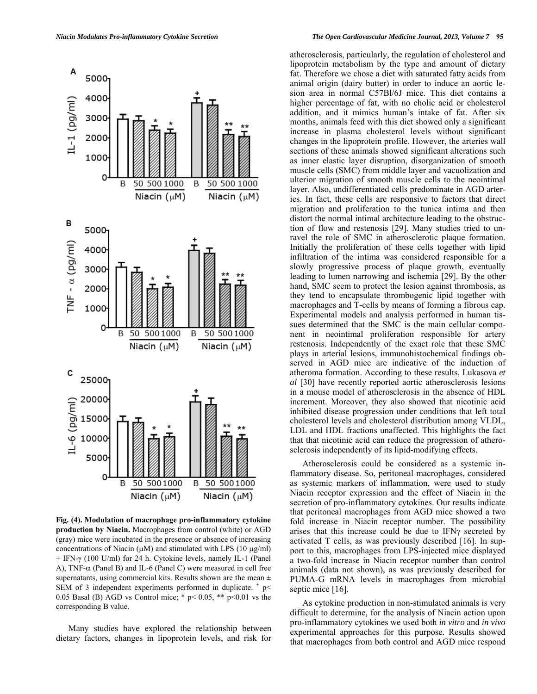

**Fig. (4). Modulation of macrophage pro-inflammatory cytokine production by Niacin.** Macrophages from control (white) or AGD (gray) mice were incubated in the presence or absence of increasing concentrations of Niacin ( $\mu$ M) and stimulated with LPS (10  $\mu$ g/ml) + IFN-γ (100 U/ml) for 24 h. Cytokine levels, namely IL-1 (Panel A),  $TNF-\alpha$  (Panel B) and IL-6 (Panel C) were measured in cell free supernatants, using commercial kits. Results shown are the mean  $\pm$ SEM of 3 independent experiments performed in duplicate.  $+$  p $<$ 0.05 Basal (B) AGD vs Control mice;  $*$  p $<$  0.05,  $**$  p $<$  0.01 vs the corresponding B value.

 Many studies have explored the relationship between dietary factors, changes in lipoprotein levels, and risk for atherosclerosis, particularly, the regulation of cholesterol and lipoprotein metabolism by the type and amount of dietary fat. Therefore we chose a diet with saturated fatty acids from animal origin (dairy butter) in order to induce an aortic lesion area in normal C57Bl/6J mice. This diet contains a higher percentage of fat, with no cholic acid or cholesterol addition, and it mimics human's intake of fat. After six months, animals feed with this diet showed only a significant increase in plasma cholesterol levels without significant changes in the lipoprotein profile. However, the arteries wall sections of these animals showed significant alterations such as inner elastic layer disruption, disorganization of smooth muscle cells (SMC) from middle layer and vacuolization and ulterior migration of smooth muscle cells to the neointimal layer. Also, undifferentiated cells predominate in AGD arteries. In fact, these cells are responsive to factors that direct migration and proliferation to the tunica intima and then distort the normal intimal architecture leading to the obstruction of flow and restenosis [29]. Many studies tried to unravel the role of SMC in atherosclerotic plaque formation. Initially the proliferation of these cells together with lipid infiltration of the intima was considered responsible for a slowly progressive process of plaque growth, eventually leading to lumen narrowing and ischemia [29]. By the other hand, SMC seem to protect the lesion against thrombosis, as they tend to encapsulate thrombogenic lipid together with macrophages and T-cells by means of forming a fibrous cap. Experimental models and analysis performed in human tissues determined that the SMC is the main cellular component in neointimal proliferation responsible for artery restenosis. Independently of the exact role that these SMC plays in arterial lesions, immunohistochemical findings observed in AGD mice are indicative of the induction of atheroma formation. According to these results, Lukasova *et al* [30] have recently reported aortic atherosclerosis lesions in a mouse model of atherosclerosis in the absence of HDL increment. Moreover, they also showed that nicotinic acid inhibited disease progression under conditions that left total cholesterol levels and cholesterol distribution among VLDL, LDL and HDL fractions unaffected. This highlights the fact that that nicotinic acid can reduce the progression of atherosclerosis independently of its lipid-modifying effects.

 Atherosclerosis could be considered as a systemic inflammatory disease. So, peritoneal macrophages, considered as systemic markers of inflammation, were used to study Niacin receptor expression and the effect of Niacin in the secretion of pro-inflammatory cytokines. Our results indicate that peritoneal macrophages from AGD mice showed a two fold increase in Niacin receptor number. The possibility arises that this increase could be due to  $IFN<sub>Y</sub>$  secreted by activated T cells, as was previously described [16]. In support to this, macrophages from LPS-injected mice displayed a two-fold increase in Niacin receptor number than control animals (data not shown), as was previously described for PUMA-G mRNA levels in macrophages from microbial septic mice [16].

 As cytokine production in non-stimulated animals is very difficult to determine, for the analysis of Niacin action upon pro-inflammatory cytokines we used both *in vitro* and *in vivo* experimental approaches for this purpose. Results showed that macrophages from both control and AGD mice respond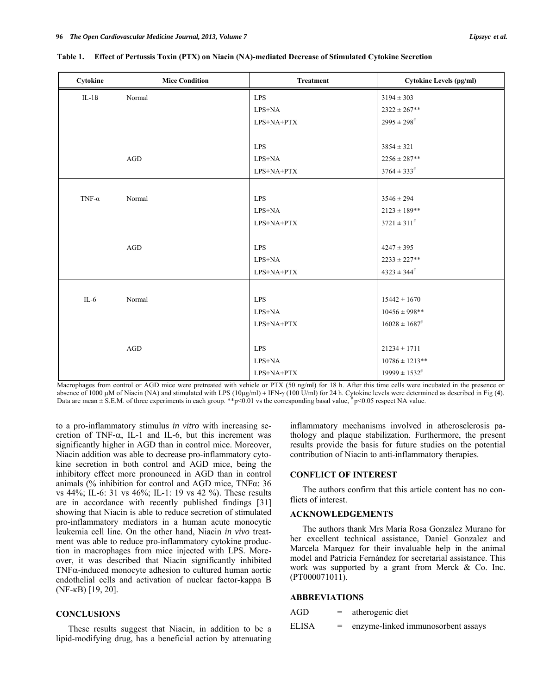| Cytokine      | <b>Mice Condition</b> | <b>Treatment</b> | <b>Cytokine Levels (pg/ml)</b> |
|---------------|-----------------------|------------------|--------------------------------|
| $IL-1B$       | Normal                | <b>LPS</b>       | $3194 \pm 303$                 |
|               |                       | LPS+NA           | $2322 \pm 267$ **              |
|               |                       | LPS+NA+PTX       | $2995 \pm 298^{\text{*}}$      |
|               |                       |                  |                                |
|               |                       | <b>LPS</b>       | $3854 \pm 321$                 |
|               | AGD                   | LPS+NA           | $2256 \pm 287**$               |
|               |                       | LPS+NA+PTX       | $3764 \pm 333^{\#}$            |
|               |                       |                  |                                |
| TNF- $\alpha$ | Normal                | <b>LPS</b>       | $3546 \pm 294$                 |
|               |                       | LPS+NA           | $2123 \pm 189$ **              |
|               |                       | LPS+NA+PTX       | $3721 \pm 311^{\#}$            |
|               |                       |                  |                                |
|               | AGD                   | <b>LPS</b>       | $4247 \pm 395$                 |
|               |                       | LPS+NA           | $2233 \pm 227**$               |
|               |                       | LPS+NA+PTX       | $4323 \pm 344^{\#}$            |
|               |                       |                  |                                |
| $IL-6$        | Normal                | <b>LPS</b>       | $15442 \pm 1670$               |
|               |                       | $LPS+NA$         | $10456 \pm 998$ **             |
|               |                       | LPS+NA+PTX       | $16028 \pm 1687^{*}$           |
|               |                       |                  |                                |
|               | AGD                   | <b>LPS</b>       | $21234 \pm 1711$               |
|               |                       | LPS+NA           | $10786 \pm 1213$ **            |
|               |                       | LPS+NA+PTX       | $19999 \pm 1532^{\text{\#}}$   |

**Table 1. Effect of Pertussis Toxin (PTX) on Niacin (NA)-mediated Decrease of Stimulated Cytokine Secretion** 

Macrophages from control or AGD mice were pretreated with vehicle or PTX (50 ng/ml) for 18 h. After this time cells were incubated in the presence or absence of 1000  $\mu$ M of Niacin (NA) and stimulated with LPS ( $10\mu$ g/ml) + IFN- $\gamma$  ( $100$  U/ml) for 24 h. Cytokine levels were determined as described in Fig (4). Data are mean  $\pm$  S.E.M. of three experiments in each group. \*\*p<0.01 vs the corresponding basal value,  $\frac{4}{7}$  p<0.05 respect NA value.

to a pro-inflammatory stimulus *in vitro* with increasing secretion of TNF- $\alpha$ , IL-1 and IL-6, but this increment was significantly higher in AGD than in control mice. Moreover, Niacin addition was able to decrease pro-inflammatory cytokine secretion in both control and AGD mice, being the inhibitory effect more pronounced in AGD than in control animals (% inhibition for control and AGD mice, TNFα: 36 vs 44%; IL-6: 31 vs 46%; IL-1: 19 vs 42 %). These results are in accordance with recently published findings [31] showing that Niacin is able to reduce secretion of stimulated pro-inflammatory mediators in a human acute monocytic leukemia cell line. On the other hand, Niacin *in vivo* treatment was able to reduce pro-inflammatory cytokine production in macrophages from mice injected with LPS. Moreover, it was described that Niacin significantly inhibited  $TNF\alpha$ -induced monocyte adhesion to cultured human aortic endothelial cells and activation of nuclear factor-kappa B (NF-κB) [19, 20].

## **CONCLUSIONS**

 These results suggest that Niacin, in addition to be a lipid-modifying drug, has a beneficial action by attenuating inflammatory mechanisms involved in atherosclerosis pathology and plaque stabilization. Furthermore, the present results provide the basis for future studies on the potential contribution of Niacin to anti-inflammatory therapies.

## **CONFLICT OF INTEREST**

 The authors confirm that this article content has no conflicts of interest.

## **ACKNOWLEDGEMENTS**

 The authors thank Mrs María Rosa Gonzalez Murano for her excellent technical assistance, Daniel Gonzalez and Marcela Marquez for their invaluable help in the animal model and Patricia Fernández for secretarial assistance. This work was supported by a grant from Merck & Co. Inc. (PT000071011).

## **ABBREVIATIONS**

| AGD   | $=$ | atherogenic diet                   |
|-------|-----|------------------------------------|
| ELISA | $=$ | enzyme-linked immunosorbent assays |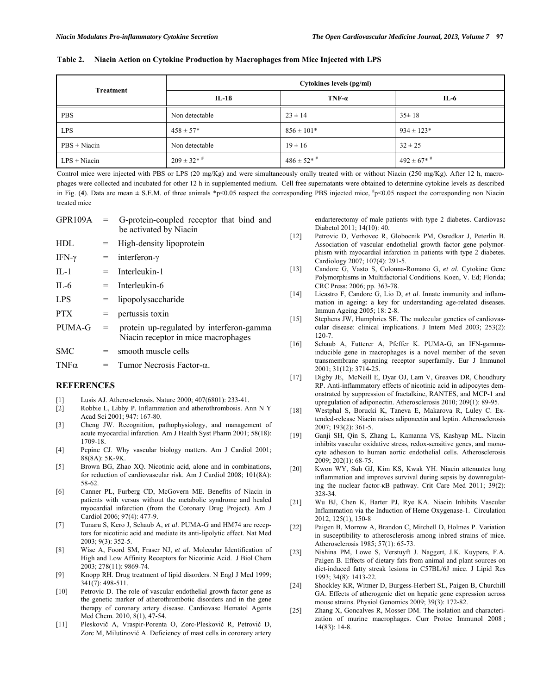| <b>Table 2.</b> | Niacin Action on Cytokine Production by Macrophages from Mice Injected with LPS |  |
|-----------------|---------------------------------------------------------------------------------|--|
|                 |                                                                                 |  |

| <b>Treatment</b> | Cytokines levels (pg/ml) |                     |                     |  |
|------------------|--------------------------|---------------------|---------------------|--|
|                  | IL-1ß                    | $TNF-a$             | IL-6                |  |
| <b>PBS</b>       | Non detectable           | $23 \pm 14$         | $35 \pm 18$         |  |
| <b>LPS</b>       | $458 \pm 57*$            | $856 \pm 101*$      | $934 \pm 123$ *     |  |
| $PBS + Niacin$   | Non detectable           | $19 \pm 16$         | $32 \pm 25$         |  |
| $LPS + Niacin$   | $209 \pm 32$ * $\#$      | $486 \pm 52$ * $\#$ | $492 \pm 67$ * $^*$ |  |

Control mice were injected with PBS or LPS (20 mg/Kg) and were simultaneously orally treated with or without Niacin (250 mg/Kg). After 12 h, macrophages were collected and incubated for other 12 h in supplemented medium. Cell free supernatants were obtained to determine cytokine levels as described in Fig. (4). Data are mean  $\pm$  S.E.M. of three animals \*p<0.05 respect the corresponding PBS injected mice,  $\frac{m}{2}$ <0.05 respect the corresponding non Niacin treated mice

|             |     | $GPR109A = G-protein-coupled receptor that bind and$<br>be activated by Niacin  |
|-------------|-----|---------------------------------------------------------------------------------|
| HDL.        | $=$ | High-density lipoprotein                                                        |
| IFN-γ       | $=$ | interferon- $\gamma$                                                            |
| $IL-1$      | $=$ | Interleukin-1                                                                   |
| IL-6        |     | $=$ Interleukin-6                                                               |
| <b>LPS</b>  |     | $=$ lipopolysaccharide                                                          |
| <b>PTX</b>  | $=$ | pertussis toxin                                                                 |
| PUMA-G      |     | protein up-regulated by interferon-gamma<br>Niacin receptor in mice macrophages |
| <b>SMC</b>  | $=$ | smooth muscle cells                                                             |
| $TNF\alpha$ |     | $=$ Tumor Necrosis Factor- $\alpha$ .                                           |

#### **REFERENCES**

- [1] Lusis AJ. Atherosclerosis. Nature 2000; 407(6801): 233-41.
- [2] Robbie L, Libby P. Inflammation and atherothrombosis. Ann N Y Acad Sci 2001; 947: 167-80.
- [3] Cheng JW. Recognition, pathophysiology, and management of acute myocardial infarction. Am J Health Syst Pharm 2001; 58(18): 1709-18.
- [4] Pepine CJ. Why vascular biology matters. Am J Cardiol 2001; 88(8A): 5K-9K.
- [5] Brown BG, Zhao XQ. Nicotinic acid, alone and in combinations, for reduction of cardiovascular risk. Am J Cardiol 2008; 101(8A): 58-62.
- [6] Canner PL, Furberg CD, McGovern ME. Benefits of Niacin in patients with versus without the metabolic syndrome and healed myocardial infarction (from the Coronary Drug Project). Am J Cardiol 2006; 97(4): 477-9.
- [7] Tunaru S, Kero J, Schaub A, *et al*. PUMA-G and HM74 are receptors for nicotinic acid and mediate its anti-lipolytic effect. Nat Med 2003; 9(3): 352-5.
- [8] Wise A, Foord SM, Fraser NJ, *et al*. Molecular Identification of High and Low Affinity Receptors for Nicotinic Acid. J Biol Chem 2003; 278(11): 9869-74.
- [9] Knopp RH. Drug treatment of lipid disorders. N Engl J Med 1999; 341(7): 498-511.
- [10] Petrovic D. The role of vascular endothelial growth factor gene as the genetic marker of atherothrombotic disorders and in the gene therapy of coronary artery disease. Cardiovasc Hematol Agents Med Chem. 2010, 8(1), 47-54.
- [11] Pleskovič A, Vraspir-Porenta O, Zorc-Pleskovič R, Petrovič D, Zorc M, Milutinović A. Deficiency of mast cells in coronary artery

endarterectomy of male patients with type 2 diabetes. Cardiovasc Diabetol 2011; 14(10): 40.

- [12] Petrovic D, Verhovec R, Globocnik PM, Osredkar J, Peterlin B. Association of vascular endothelial growth factor gene polymorphism with myocardial infarction in patients with type 2 diabetes. Cardiology 2007; 107(4): 291-5.
- [13] Candore G, Vasto S, Colonna-Romano G, *et al*. Cytokine Gene Polymorphisms in Multifactorial Conditions. Koen, V. Ed; Florida; CRC Press: 2006; pp. 363-78.
- [14] Licastro F, Candore G, Lio D, *et al*. Innate immunity and inflammation in ageing: a key for understanding age-related diseases. Immun Ageing 2005; 18: 2-8.
- [15] Stephens JW, Humphries SE. The molecular genetics of cardiovascular disease: clinical implications. J Intern Med 2003; 253(2): 120-7.
- [16] Schaub A, Futterer A, Pfeffer K. PUMA-G, an IFN-gammainducible gene in macrophages is a novel member of the seven transmembrane spanning receptor superfamily. Eur J Immunol 2001; 31(12): 3714-25.
- [17] Digby JE, McNeill E, Dyar OJ, Lam V, Greaves DR, Choudhury RP. Anti-inflammatory effects of nicotinic acid in adipocytes demonstrated by suppression of fractalkine, RANTES, and MCP-1 and upregulation of adiponectin. Atherosclerosis 2010; 209(1): 89-95.
- [18] Westphal S, Borucki K, Taneva E, Makarova R, Luley C. Extended-release Niacin raises adiponectin and leptin. Atherosclerosis 2007; 193(2): 361-5.
- [19] Ganji SH, Qin S, Zhang L, Kamanna VS, Kashyap ML. Niacin inhibits vascular oxidative stress, redox-sensitive genes, and monocyte adhesion to human aortic endothelial cells. Atherosclerosis 2009; 202(1): 68-75.
- [20] Kwon WY, Suh GJ, Kim KS, Kwak YH. Niacin attenuates lung inflammation and improves survival during sepsis by downregulating the nuclear factor-κB pathway. Crit Care Med 2011; 39(2): 328-34.
- [21] Wu BJ, Chen K, Barter PJ, Rye KA. Niacin Inhibits Vascular Inflammation via the Induction of Heme Oxygenase-1. Circulation 2012, 125(1), 150-8
- [22] Paigen B, Morrow A, Brandon C, Mitchell D, Holmes P. Variation in susceptibility to atherosclerosis among inbred strains of mice. Atherosclerosis 1985; 57(1): 65-73.
- [23] Nishina PM, Lowe S, Verstuyft J. Naggert, J.K. Kuypers, F.A. Paigen B. Effects of dietary fats from animal and plant sources on diet-induced fatty streak lesions in C57BL/6J mice. J Lipid Res 1993; 34(8): 1413-22.
- [24] Shockley KR, Witmer D, Burgess-Herbert SL, Paigen B, Churchill GA. Effects of atherogenic diet on hepatic gene expression across mouse strains. Physiol Genomics 2009; 39(3): 172-82.
- [25] Zhang X, Goncalves R, Mosser DM. The isolation and characterization of murine macrophages. Curr Protoc Immunol 2008 ; 14(83): 14-8.